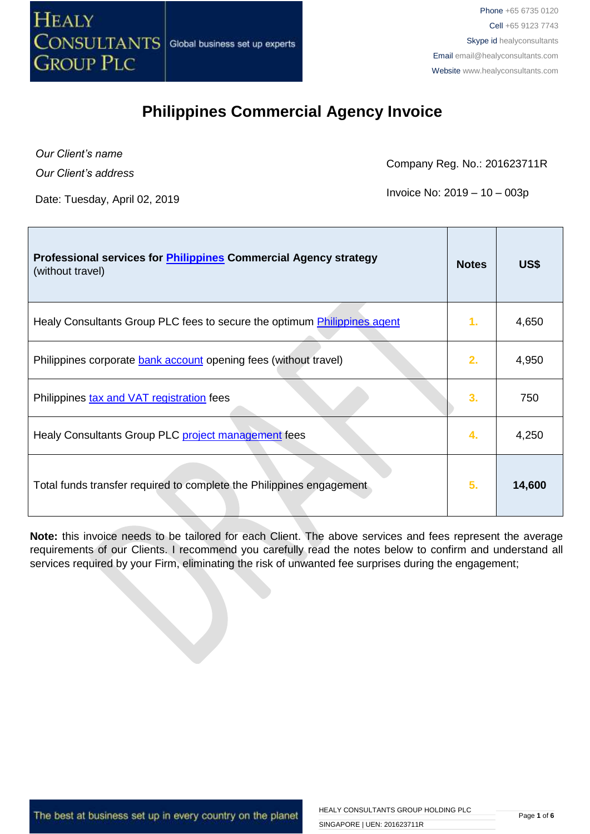

#### **Philippines Commercial Agency Invoice**

*Our Client's name*

*Our Client's address*

Company Reg. No.: 201623711R

Date: Tuesday, April 02, 2019 **Invoice No: 2019** - 10 – 003p

| Professional services for <i>Philippines</i> Commercial Agency strategy<br>(without travel) | <b>Notes</b> | US\$   |
|---------------------------------------------------------------------------------------------|--------------|--------|
| Healy Consultants Group PLC fees to secure the optimum Philippines agent                    | 1.           | 4,650  |
| Philippines corporate <b>bank account</b> opening fees (without travel)                     | 2.           | 4,950  |
| Philippines tax and VAT registration fees                                                   | 3.           | 750    |
| Healy Consultants Group PLC project management fees                                         | 4.           | 4,250  |
| Total funds transfer required to complete the Philippines engagement                        | 5.           | 14,600 |

**Note:** this invoice needs to be tailored for each Client. The above services and fees represent the average requirements of our Clients. I recommend you carefully read the notes below to confirm and understand all services required by your Firm, eliminating the risk of unwanted fee surprises during the engagement;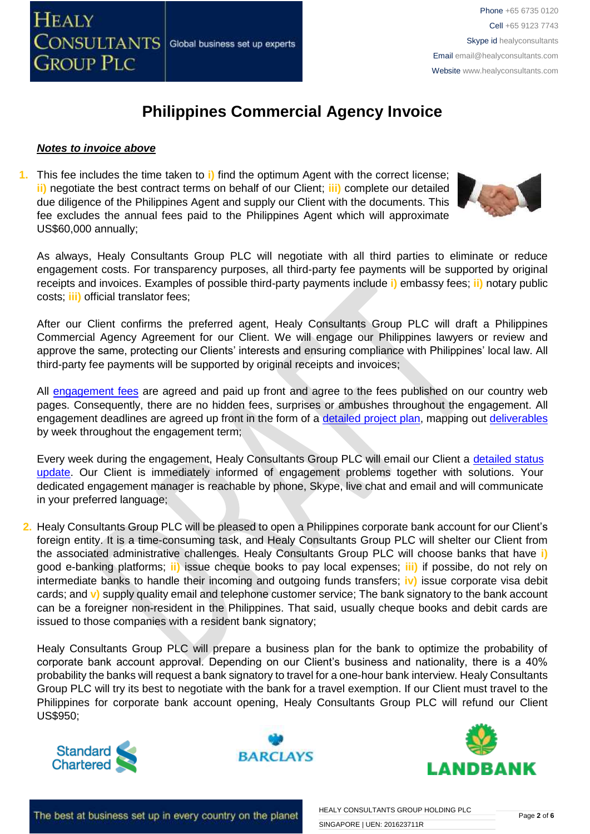

#### **Philippines Commercial Agency Invoice**

#### *Notes to invoice above*

**1.** This fee includes the time taken to **i)** find the optimum Agent with the correct license; **ii)** negotiate the best contract terms on behalf of our Client; **iii)** complete our detailed due diligence of the Philippines Agent and supply our Client with the documents. This fee excludes the annual fees paid to the Philippines Agent which will approximate US\$60,000 annually;



As always, Healy Consultants Group PLC will negotiate with all third parties to eliminate or reduce engagement costs. For transparency purposes, all third-party fee payments will be supported by original receipts and invoices. Examples of possible third-party payments include **i)** embassy fees; **ii)** notary public costs; **iii)** official translator fees;

After our Client confirms the preferred agent, Healy Consultants Group PLC will draft a Philippines Commercial Agency Agreement for our Client. We will engage our Philippines lawyers or review and approve the same, protecting our Clients' interests and ensuring compliance with Philippines' local law. All third-party fee payments will be supported by original receipts and invoices;

All [engagement fees](http://www.healyconsultants.com/company-registration-fees/) are agreed and paid up front and agree to the fees published on our country web pages. Consequently, there are no hidden fees, surprises or ambushes throughout the engagement. All engagement deadlines are agreed up front in the form of a [detailed project plan,](http://www.healyconsultants.com/index-important-links/example-project-plan/) mapping out [deliverables](http://www.healyconsultants.com/deliverables-to-our-clients/) by week throughout the engagement term;

Every week during the engagement, Healy Consultants Group PLC will email our Client a detailed status [update.](http://www.healyconsultants.com/index-important-links/weekly-engagement-status-email/) Our Client is immediately informed of engagement problems together with solutions. Your dedicated engagement manager is reachable by phone, Skype, live chat and email and will communicate in your preferred language;

**2.** Healy Consultants Group PLC will be pleased to open a Philippines corporate bank account for our Client's foreign entity. It is a time-consuming task, and Healy Consultants Group PLC will shelter our Client from the associated administrative challenges. Healy Consultants Group PLC will choose banks that have **i)** good e-banking platforms; **ii)** issue cheque books to pay local expenses; **iii)** if possibe, do not rely on intermediate banks to handle their incoming and outgoing funds transfers; **iv)** issue corporate visa debit cards; and **v)** supply quality email and telephone customer service; The bank signatory to the bank account can be a foreigner non-resident in the Philippines. That said, usually cheque books and debit cards are issued to those companies with a resident bank signatory;

Healy Consultants Group PLC will prepare a business plan for the bank to optimize the probability of corporate bank account approval. Depending on our Client's business and nationality, there is a 40% probability the banks will request a bank signatory to travel for a one-hour bank interview. Healy Consultants Group PLC will try its best to negotiate with the bank for a travel exemption. If our Client must travel to the Philippines for corporate bank account opening, Healy Consultants Group PLC will refund our Client US\$950;







The best at business set up in every country on the planet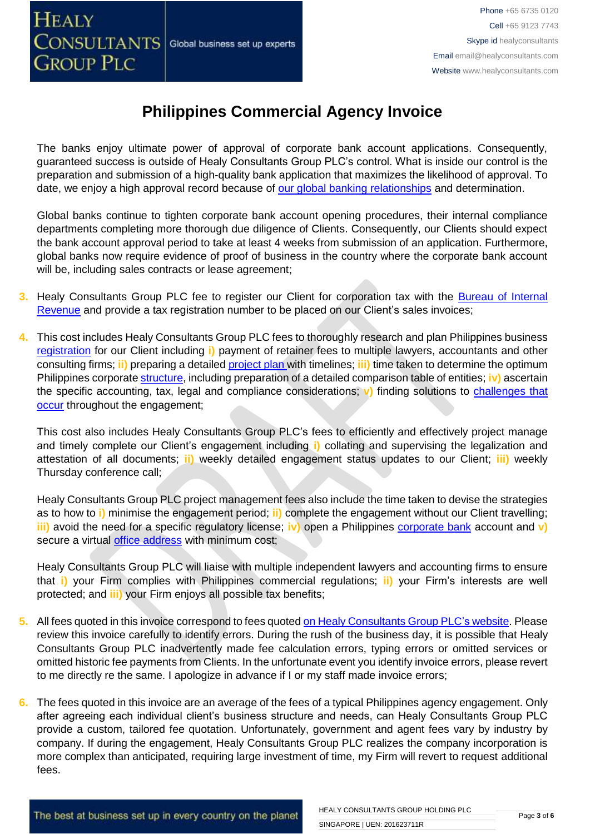# **HEALY CONSULTANTS** Global business set up experts **GROUP PLC**

### **Philippines Commercial Agency Invoice**

The banks enjoy ultimate power of approval of corporate bank account applications. Consequently, guaranteed success is outside of Healy Consultants Group PLC's control. What is inside our control is the preparation and submission of a high-quality bank application that maximizes the likelihood of approval. To date, we enjoy a high approval record because of [our global banking relationships](http://www.healyconsultants.com/international-banking/corporate-accounts/) and determination.

Global banks continue to tighten corporate bank account opening procedures, their internal compliance departments completing more thorough due diligence of Clients. Consequently, our Clients should expect the bank account approval period to take at least 4 weeks from submission of an application. Furthermore, global banks now require evidence of proof of business in the country where the corporate bank account will be, including sales contracts or lease agreement;

- **3.** Healy Consultants Group PLC fee to register our Client for corporation tax with the [Bureau of Internal](https://www.bir.gov.ph/)  [Revenue](https://www.bir.gov.ph/) and provide a tax registration number to be placed on our Client's sales invoices;
- **4.** This cost includes Healy Consultants Group PLC fees to thoroughly research and plan Philippines business [registration](https://www.healyconsultants.com/philippines-company-registration/formation-support-services/#agent) for our Client including **i)** payment of retainer fees to multiple lawyers, accountants and other consulting firms; **ii)** preparing a detailed [project plan w](http://www.healyconsultants.com/index-important-links/example-project-plan/)ith timelines; **iii)** time taken to determine the optimum Philippines corporate [structure,](https://www.healyconsultants.com/middle-east-incorporation/uae-emirates-comparisons/) including preparation of a detailed comparison table of entities; **iv)** ascertain the specific accounting, tax, legal and compliance considerations; **v)** finding solutions to [challenges that](http://www.healyconsultants.com/engagement-project-management/)  [occur](http://www.healyconsultants.com/engagement-project-management/) throughout the engagement;

This cost also includes Healy Consultants Group PLC's fees to efficiently and effectively project manage and timely complete our Client's engagement including **i)** collating and supervising the legalization and attestation of all documents; **ii)** weekly detailed engagement status updates to our Client; **iii)** weekly Thursday conference call;

Healy Consultants Group PLC project management fees also include the time taken to devise the strategies as to how to **i)** minimise the engagement period; **ii)** complete the engagement without our Client travelling; **iii)** avoid the need for a specific regulatory license; **iv)** open a Philippines [corporate bank](https://www.healyconsultants.com/philippines-company-registration/banking/) account and **v)** secure a virtual [office address](http://www.healyconsultants.com/corporate-advisory-services/virtual-office/) with minimum cost;

Healy Consultants Group PLC will liaise with multiple independent lawyers and accounting firms to ensure that **i)** your Firm complies with Philippines commercial regulations; **ii)** your Firm's interests are well protected; and **iii)** your Firm enjoys all possible tax benefits;

- **5.** All fees quoted in this invoice correspond to fees quoted [on Healy Consultants Group PLC's website.](http://www.healyconsultants.com/company-registration-fees/) Please review this invoice carefully to identify errors. During the rush of the business day, it is possible that Healy Consultants Group PLC inadvertently made fee calculation errors, typing errors or omitted services or omitted historic fee payments from Clients. In the unfortunate event you identify invoice errors, please revert to me directly re the same. I apologize in advance if I or my staff made invoice errors;
- **6.** The fees quoted in this invoice are an average of the fees of a typical Philippines agency engagement. Only after agreeing each individual client's business structure and needs, can Healy Consultants Group PLC provide a custom, tailored fee quotation. Unfortunately, government and agent fees vary by industry by company. If during the engagement, Healy Consultants Group PLC realizes the company incorporation is more complex than anticipated, requiring large investment of time, my Firm will revert to request additional fees.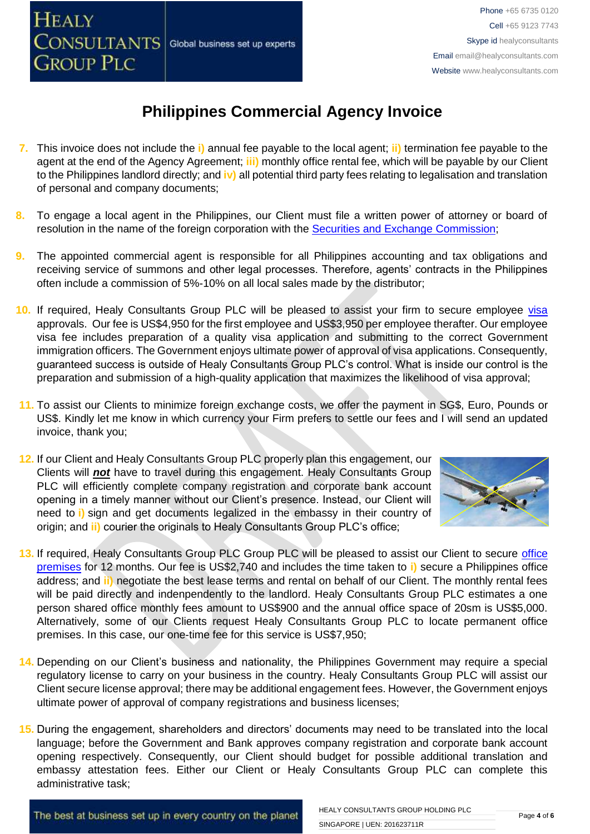# **HEALY CONSULTANTS** Global business set up experts **GROUP PLC**

## **Philippines Commercial Agency Invoice**

- **7.** This invoice does not include the **i)** annual fee payable to the local agent; **ii)** termination fee payable to the agent at the end of the Agency Agreement; **iii)** monthly office rental fee, which will be payable by our Client to the Philippines landlord directly; and **iv)** all potential third party fees relating to legalisation and translation of personal and company documents;
- **8.** To engage a local agent in the Philippines, our Client must file a written power of attorney or board of resolution in the name of the foreign corporation with the [Securities and Exchange Commission;](http://www.sec.gov.ph/)
- **9.** The appointed commercial agent is responsible for all Philippines accounting and tax obligations and receiving service of summons and other legal processes. Therefore, agents' contracts in the Philippines often include a commission of 5%-10% on all local sales made by the distributor;
- 10. If required, Healy Consultants Group PLC will be pleased to assist your firm to secure employee visa approvals. Our fee is US\$4,950 for the first employee and US\$3,950 per employee therafter. Our employee visa fee includes preparation of a quality visa application and submitting to the correct Government immigration officers. The Government enjoys ultimate power of approval of visa applications. Consequently, guaranteed success is outside of Healy Consultants Group PLC's control. What is inside our control is the preparation and submission of a high-quality application that maximizes the likelihood of visa approval;
- **11.** To assist our Clients to minimize foreign exchange costs, we offer the payment in SG\$, Euro, Pounds or US\$. Kindly let me know in which currency your Firm prefers to settle our fees and I will send an updated invoice, thank you;
- **12.** If our Client and Healy Consultants Group PLC properly plan this engagement, our Clients will *not* have to travel during this engagement. Healy Consultants Group PLC will efficiently complete company registration and corporate bank account opening in a timely manner without our Client's presence. Instead, our Client will need to **i)** sign and get documents legalized in the embassy in their country of origin; and **ii)** courier the originals to Healy Consultants Group PLC's office;



- 13. If required, Healy Consultants Group PLC Group PLC will be pleased to assist our Client to secure office [premises](http://www.healyconsultants.com/virtual-office/) for 12 months. Our fee is US\$2,740 and includes the time taken to **i)** secure a Philippines office address; and **ii)** negotiate the best lease terms and rental on behalf of our Client. The monthly rental fees will be paid directly and indenpendently to the landlord. Healy Consultants Group PLC estimates a one person shared office monthly fees amount to US\$900 and the annual office space of 20sm is US\$5,000. Alternatively, some of our Clients request Healy Consultants Group PLC to locate permanent office premises. In this case, our one-time fee for this service is US\$7,950;
- **14.** Depending on our Client's business and nationality, the Philippines Government may require a special regulatory license to carry on your business in the country. Healy Consultants Group PLC will assist our Client secure license approval; there may be additional engagement fees. However, the Government enjoys ultimate power of approval of company registrations and business licenses;
- **15.** During the engagement, shareholders and directors' documents may need to be translated into the local language; before the Government and Bank approves company registration and corporate bank account opening respectively. Consequently, our Client should budget for possible additional translation and embassy attestation fees. Either our Client or Healy Consultants Group PLC can complete this administrative task;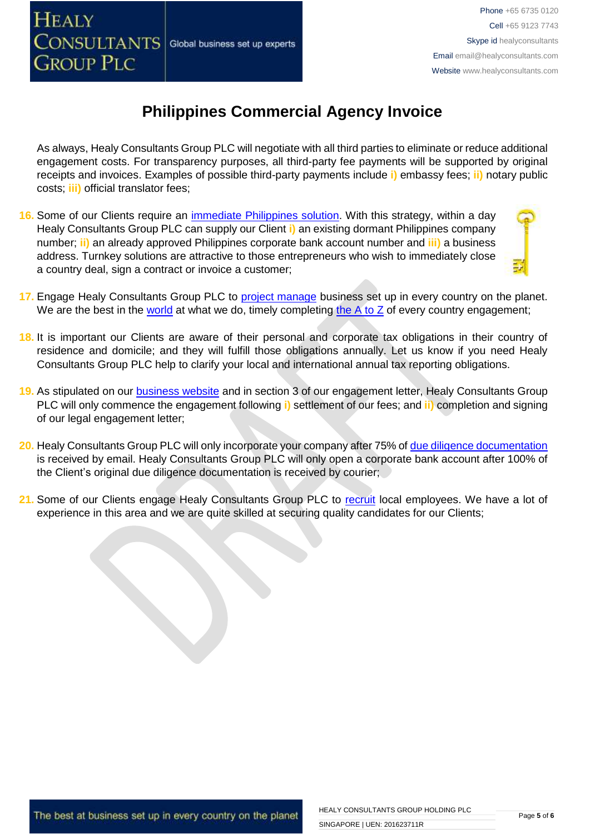#### Global business set up experts

**GROUP PLC** 

**CONSULTANTS** 

**HEALY** 

## **Philippines Commercial Agency Invoice**

As always, Healy Consultants Group PLC will negotiate with all third parties to eliminate or reduce additional engagement costs. For transparency purposes, all third-party fee payments will be supported by original receipts and invoices. Examples of possible third-party payments include **i)** embassy fees; **ii)** notary public costs; **iii)** official translator fees;

**16.** Some of our Clients require an [immediate Philippines solution.](http://www.healyconsultants.com/turnkey-solutions/) With this strategy, within a day Healy Consultants Group PLC can supply our Client **i)** an existing dormant Philippines company number; **ii)** an already approved Philippines corporate bank account number and **iii)** a business address. Turnkey solutions are attractive to those entrepreneurs who wish to immediately close a country deal, sign a contract or invoice a customer;



- 17. Engage Healy Consultants Group PLC to **project manage** business set up in every country on the planet. We are the best in the [world](http://www.healyconsultants.com/best-in-the-world/) at what we do, timely completing the  $A$  to  $Z$  of every country engagement;
- **18.** It is important our Clients are aware of their personal and corporate tax obligations in their country of residence and domicile; and they will fulfill those obligations annually. Let us know if you need Healy Consultants Group PLC help to clarify your local and international annual tax reporting obligations.
- **19.** As stipulated on our [business website](http://www.healyconsultants.com/) and in section 3 of our engagement letter, Healy Consultants Group PLC will only commence the engagement following **i)** settlement of our fees; and **ii)** completion and signing of our legal engagement letter;
- **20.** Healy Consultants Group PLC will only incorporate your company after 75% of [due diligence documentation](http://www.healyconsultants.com/due-diligence/) is received by email. Healy Consultants Group PLC will only open a corporate bank account after 100% of the Client's original due diligence documentation is received by courier;
- **21.** Some of our Clients engage Healy Consultants Group PLC to [recruit](http://www.healyconsultants.com/corporate-outsourcing-services/how-we-help-our-clients-recruit-quality-employees/) local employees. We have a lot of experience in this area and we are quite skilled at securing quality candidates for our Clients;